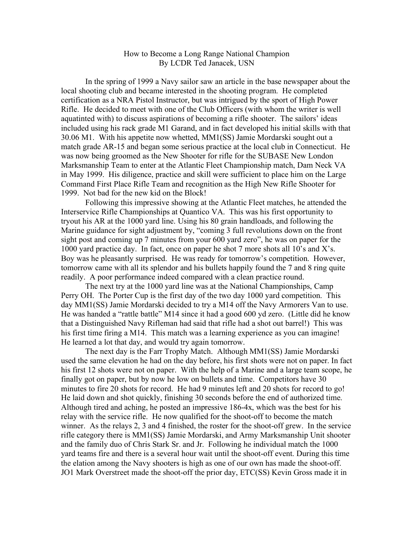## How to Become a Long Range National Champion By LCDR Ted Janacek, USN

In the spring of 1999 a Navy sailor saw an article in the base newspaper about the local shooting club and became interested in the shooting program. He completed certification as a NRA Pistol Instructor, but was intrigued by the sport of High Power Rifle. He decided to meet with one of the Club Officers (with whom the writer is well aquatinted with) to discuss aspirations of becoming a rifle shooter. The sailors' ideas included using his rack grade M1 Garand, and in fact developed his initial skills with that 30.06 M1. With his appetite now whetted, MM1(SS) Jamie Mordarski sought out a match grade AR-15 and began some serious practice at the local club in Connecticut. He was now being groomed as the New Shooter for rifle for the SUBASE New London Marksmanship Team to enter at the Atlantic Fleet Championship match, Dam Neck VA in May 1999. His diligence, practice and skill were sufficient to place him on the Large Command First Place Rifle Team and recognition as the High New Rifle Shooter for 1999. Not bad for the new kid on the Block!

Following this impressive showing at the Atlantic Fleet matches, he attended the Interservice Rifle Championships at Quantico VA. This was his first opportunity to tryout his AR at the 1000 yard line. Using his 80 grain handloads, and following the Marine guidance for sight adjustment by, "coming 3 full revolutions down on the front sight post and coming up 7 minutes from your 600 yard zero", he was on paper for the 1000 yard practice day. In fact, once on paper he shot 7 more shots all 10's and X's. Boy was he pleasantly surprised. He was ready for tomorrow's competition. However, tomorrow came with all its splendor and his bullets happily found the 7 and 8 ring quite readily. A poor performance indeed compared with a clean practice round.

The next try at the 1000 yard line was at the National Championships, Camp Perry OH. The Porter Cup is the first day of the two day 1000 yard competition. This day MM1(SS) Jamie Mordarski decided to try a M14 off the Navy Armorers Van to use. He was handed a "rattle battle" M14 since it had a good 600 yd zero. (Little did he know that a Distinguished Navy Rifleman had said that rifle had a shot out barrel!) This was his first time firing a M14. This match was a learning experience as you can imagine! He learned a lot that day, and would try again tomorrow.

The next day is the Farr Trophy Match. Although MM1(SS) Jamie Mordarski used the same elevation he had on the day before, his first shots were not on paper. In fact his first 12 shots were not on paper. With the help of a Marine and a large team scope, he finally got on paper, but by now he low on bullets and time. Competitors have 30 minutes to fire 20 shots for record. He had 9 minutes left and 20 shots for record to go! He laid down and shot quickly, finishing 30 seconds before the end of authorized time. Although tired and aching, he posted an impressive 186-4x, which was the best for his relay with the service rifle. He now qualified for the shoot-off to become the match winner. As the relays 2, 3 and 4 finished, the roster for the shoot-off grew. In the service rifle category there is MM1(SS) Jamie Mordarski, and Army Marksmanship Unit shooter and the family duo of Chris Stark Sr. and Jr. Following he individual match the 1000 yard teams fire and there is a several hour wait until the shoot-off event. During this time the elation among the Navy shooters is high as one of our own has made the shoot-off. JO1 Mark Overstreet made the shoot-off the prior day, ETC(SS) Kevin Gross made it in